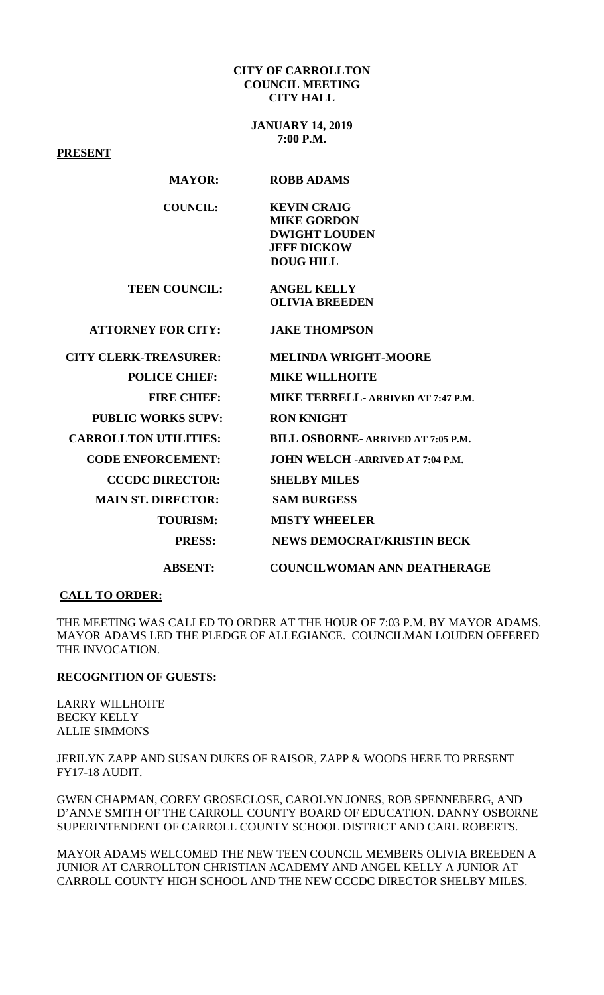#### **CITY OF CARROLLTON COUNCIL MEETING CITY HALL**

**JANUARY 14, 2019 7:00 P.M.**

**PRESENT**

#### **MAYOR: ROBB ADAMS**

| COUNCIL: | <b>KEVIN CRAIG</b>   |
|----------|----------------------|
|          | <b>MIKE GORDON</b>   |
|          | <b>DWIGHT LOUDEN</b> |
|          | <b>JEFF DICKOW</b>   |
|          | DOUG HILL            |

 **TEEN COUNCIL: ANGEL KELLY OLIVIA BREEDEN** 

### **ATTORNEY FOR CITY: JAKE THOMPSON**

| <b>CITY CLERK-TREASURER:</b> | <b>MELINDA WRIGHT-MOORE</b>               |
|------------------------------|-------------------------------------------|
| <b>POLICE CHIEF:</b>         | <b>MIKE WILLHOITE</b>                     |
| <b>FIRE CHIEF:</b>           | MIKE TERRELL- ARRIVED AT 7:47 P.M.        |
| <b>PUBLIC WORKS SUPV:</b>    | <b>RON KNIGHT</b>                         |
| <b>CARROLLTON UTILITIES:</b> | <b>BILL OSBORNE- ARRIVED AT 7:05 P.M.</b> |
| <b>CODE ENFORCEMENT:</b>     | <b>JOHN WELCH -ARRIVED AT 7:04 P.M.</b>   |
| <b>CCCDC DIRECTOR:</b>       | <b>SHELBY MILES</b>                       |
| <b>MAIN ST. DIRECTOR:</b>    | <b>SAM BURGESS</b>                        |
| <b>TOURISM:</b>              | <b>MISTY WHEELER</b>                      |
| <b>PRESS:</b>                | <b>NEWS DEMOCRAT/KRISTIN BECK</b>         |
| <b>ABSENT:</b>               | <b>COUNCILWOMAN ANN DEATHERAGE</b>        |

#### **CALL TO ORDER:**

THE MEETING WAS CALLED TO ORDER AT THE HOUR OF 7:03 P.M. BY MAYOR ADAMS. MAYOR ADAMS LED THE PLEDGE OF ALLEGIANCE. COUNCILMAN LOUDEN OFFERED THE INVOCATION.

#### **RECOGNITION OF GUESTS:**

LARRY WILLHOITE BECKY KELLY ALLIE SIMMONS

JERILYN ZAPP AND SUSAN DUKES OF RAISOR, ZAPP & WOODS HERE TO PRESENT FY17-18 AUDIT.

GWEN CHAPMAN, COREY GROSECLOSE, CAROLYN JONES, ROB SPENNEBERG, AND D'ANNE SMITH OF THE CARROLL COUNTY BOARD OF EDUCATION. DANNY OSBORNE SUPERINTENDENT OF CARROLL COUNTY SCHOOL DISTRICT AND CARL ROBERTS.

MAYOR ADAMS WELCOMED THE NEW TEEN COUNCIL MEMBERS OLIVIA BREEDEN A JUNIOR AT CARROLLTON CHRISTIAN ACADEMY AND ANGEL KELLY A JUNIOR AT CARROLL COUNTY HIGH SCHOOL AND THE NEW CCCDC DIRECTOR SHELBY MILES.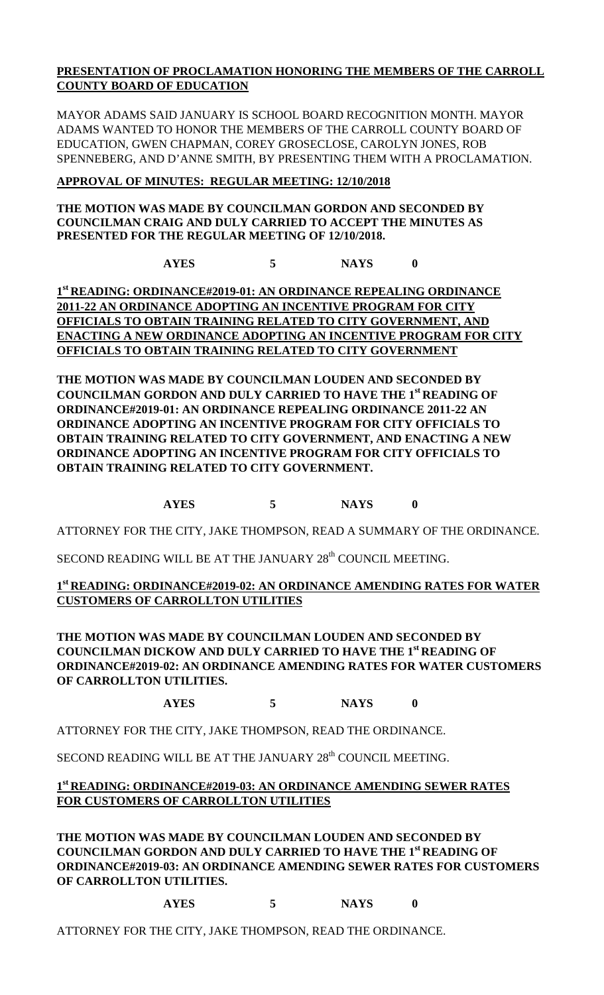# **PRESENTATION OF PROCLAMATION HONORING THE MEMBERS OF THE CARROLL COUNTY BOARD OF EDUCATION**

MAYOR ADAMS SAID JANUARY IS SCHOOL BOARD RECOGNITION MONTH. MAYOR ADAMS WANTED TO HONOR THE MEMBERS OF THE CARROLL COUNTY BOARD OF EDUCATION, GWEN CHAPMAN, COREY GROSECLOSE, CAROLYN JONES, ROB SPENNEBERG, AND D'ANNE SMITH, BY PRESENTING THEM WITH A PROCLAMATION.

# **APPROVAL OF MINUTES: REGULAR MEETING: 12/10/2018**

### **THE MOTION WAS MADE BY COUNCILMAN GORDON AND SECONDED BY COUNCILMAN CRAIG AND DULY CARRIED TO ACCEPT THE MINUTES AS PRESENTED FOR THE REGULAR MEETING OF 12/10/2018.**

**AYES 5 NAYS 0**

**1st READING: ORDINANCE#2019-01: AN ORDINANCE REPEALING ORDINANCE 2011-22 AN ORDINANCE ADOPTING AN INCENTIVE PROGRAM FOR CITY OFFICIALS TO OBTAIN TRAINING RELATED TO CITY GOVERNMENT, AND ENACTING A NEW ORDINANCE ADOPTING AN INCENTIVE PROGRAM FOR CITY OFFICIALS TO OBTAIN TRAINING RELATED TO CITY GOVERNMENT**

**THE MOTION WAS MADE BY COUNCILMAN LOUDEN AND SECONDED BY COUNCILMAN GORDON AND DULY CARRIED TO HAVE THE 1st READING OF ORDINANCE#2019-01: AN ORDINANCE REPEALING ORDINANCE 2011-22 AN ORDINANCE ADOPTING AN INCENTIVE PROGRAM FOR CITY OFFICIALS TO OBTAIN TRAINING RELATED TO CITY GOVERNMENT, AND ENACTING A NEW ORDINANCE ADOPTING AN INCENTIVE PROGRAM FOR CITY OFFICIALS TO OBTAIN TRAINING RELATED TO CITY GOVERNMENT.**

# **AYES 5 NAYS 0**

ATTORNEY FOR THE CITY, JAKE THOMPSON, READ A SUMMARY OF THE ORDINANCE.

SECOND READING WILL BE AT THE JANUARY 28<sup>th</sup> COUNCIL MEETING.

# **1st READING: ORDINANCE#2019-02: AN ORDINANCE AMENDING RATES FOR WATER CUSTOMERS OF CARROLLTON UTILITIES**

**THE MOTION WAS MADE BY COUNCILMAN LOUDEN AND SECONDED BY COUNCILMAN DICKOW AND DULY CARRIED TO HAVE THE 1st READING OF ORDINANCE#2019-02: AN ORDINANCE AMENDING RATES FOR WATER CUSTOMERS OF CARROLLTON UTILITIES.**

**AYES 5 NAYS 0**

ATTORNEY FOR THE CITY, JAKE THOMPSON, READ THE ORDINANCE.

SECOND READING WILL BE AT THE JANUARY 28<sup>th</sup> COUNCIL MEETING.

# **1st READING: ORDINANCE#2019-03: AN ORDINANCE AMENDING SEWER RATES FOR CUSTOMERS OF CARROLLTON UTILITIES**

**THE MOTION WAS MADE BY COUNCILMAN LOUDEN AND SECONDED BY COUNCILMAN GORDON AND DULY CARRIED TO HAVE THE 1st READING OF ORDINANCE#2019-03: AN ORDINANCE AMENDING SEWER RATES FOR CUSTOMERS OF CARROLLTON UTILITIES.**

**AYES 5 NAYS 0**

ATTORNEY FOR THE CITY, JAKE THOMPSON, READ THE ORDINANCE.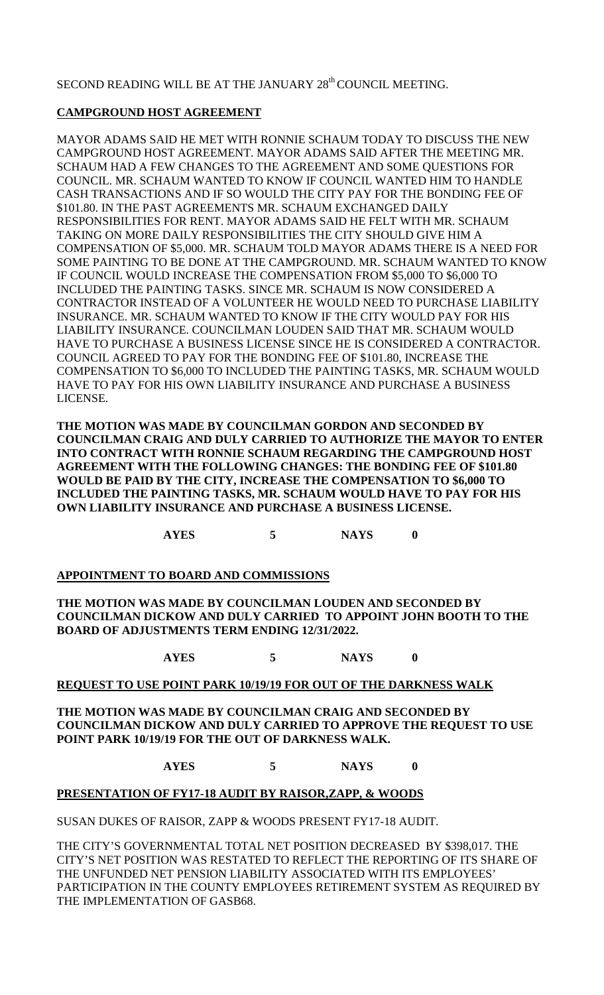### SECOND READING WILL BE AT THE JANUARY 28<sup>th</sup> COUNCIL MEETING.

# **CAMPGROUND HOST AGREEMENT**

MAYOR ADAMS SAID HE MET WITH RONNIE SCHAUM TODAY TO DISCUSS THE NEW CAMPGROUND HOST AGREEMENT. MAYOR ADAMS SAID AFTER THE MEETING MR. SCHAUM HAD A FEW CHANGES TO THE AGREEMENT AND SOME QUESTIONS FOR COUNCIL. MR. SCHAUM WANTED TO KNOW IF COUNCIL WANTED HIM TO HANDLE CASH TRANSACTIONS AND IF SO WOULD THE CITY PAY FOR THE BONDING FEE OF \$101.80. IN THE PAST AGREEMENTS MR. SCHAUM EXCHANGED DAILY RESPONSIBILITIES FOR RENT. MAYOR ADAMS SAID HE FELT WITH MR. SCHAUM TAKING ON MORE DAILY RESPONSIBILITIES THE CITY SHOULD GIVE HIM A COMPENSATION OF \$5,000. MR. SCHAUM TOLD MAYOR ADAMS THERE IS A NEED FOR SOME PAINTING TO BE DONE AT THE CAMPGROUND. MR. SCHAUM WANTED TO KNOW IF COUNCIL WOULD INCREASE THE COMPENSATION FROM \$5,000 TO \$6,000 TO INCLUDED THE PAINTING TASKS. SINCE MR. SCHAUM IS NOW CONSIDERED A CONTRACTOR INSTEAD OF A VOLUNTEER HE WOULD NEED TO PURCHASE LIABILITY INSURANCE. MR. SCHAUM WANTED TO KNOW IF THE CITY WOULD PAY FOR HIS LIABILITY INSURANCE. COUNCILMAN LOUDEN SAID THAT MR. SCHAUM WOULD HAVE TO PURCHASE A BUSINESS LICENSE SINCE HE IS CONSIDERED A CONTRACTOR. COUNCIL AGREED TO PAY FOR THE BONDING FEE OF \$101.80, INCREASE THE COMPENSATION TO \$6,000 TO INCLUDED THE PAINTING TASKS, MR. SCHAUM WOULD HAVE TO PAY FOR HIS OWN LIABILITY INSURANCE AND PURCHASE A BUSINESS LICENSE.

**THE MOTION WAS MADE BY COUNCILMAN GORDON AND SECONDED BY COUNCILMAN CRAIG AND DULY CARRIED TO AUTHORIZE THE MAYOR TO ENTER INTO CONTRACT WITH RONNIE SCHAUM REGARDING THE CAMPGROUND HOST AGREEMENT WITH THE FOLLOWING CHANGES: THE BONDING FEE OF \$101.80 WOULD BE PAID BY THE CITY, INCREASE THE COMPENSATION TO \$6,000 TO INCLUDED THE PAINTING TASKS, MR. SCHAUM WOULD HAVE TO PAY FOR HIS OWN LIABILITY INSURANCE AND PURCHASE A BUSINESS LICENSE.** 

**AYES 5 NAYS 0**

**APPOINTMENT TO BOARD AND COMMISSIONS**

**THE MOTION WAS MADE BY COUNCILMAN LOUDEN AND SECONDED BY COUNCILMAN DICKOW AND DULY CARRIED TO APPOINT JOHN BOOTH TO THE BOARD OF ADJUSTMENTS TERM ENDING 12/31/2022.**

**AYES 5 NAYS 0**

### **REQUEST TO USE POINT PARK 10/19/19 FOR OUT OF THE DARKNESS WALK**

**THE MOTION WAS MADE BY COUNCILMAN CRAIG AND SECONDED BY COUNCILMAN DICKOW AND DULY CARRIED TO APPROVE THE REQUEST TO USE POINT PARK 10/19/19 FOR THE OUT OF DARKNESS WALK.**

**AYES 5 NAYS 0**

# **PRESENTATION OF FY17-18 AUDIT BY RAISOR,ZAPP, & WOODS**

SUSAN DUKES OF RAISOR, ZAPP & WOODS PRESENT FY17-18 AUDIT.

THE CITY'S GOVERNMENTAL TOTAL NET POSITION DECREASED BY \$398,017. THE CITY'S NET POSITION WAS RESTATED TO REFLECT THE REPORTING OF ITS SHARE OF THE UNFUNDED NET PENSION LIABILITY ASSOCIATED WITH ITS EMPLOYEES' PARTICIPATION IN THE COUNTY EMPLOYEES RETIREMENT SYSTEM AS REQUIRED BY THE IMPLEMENTATION OF GASB68.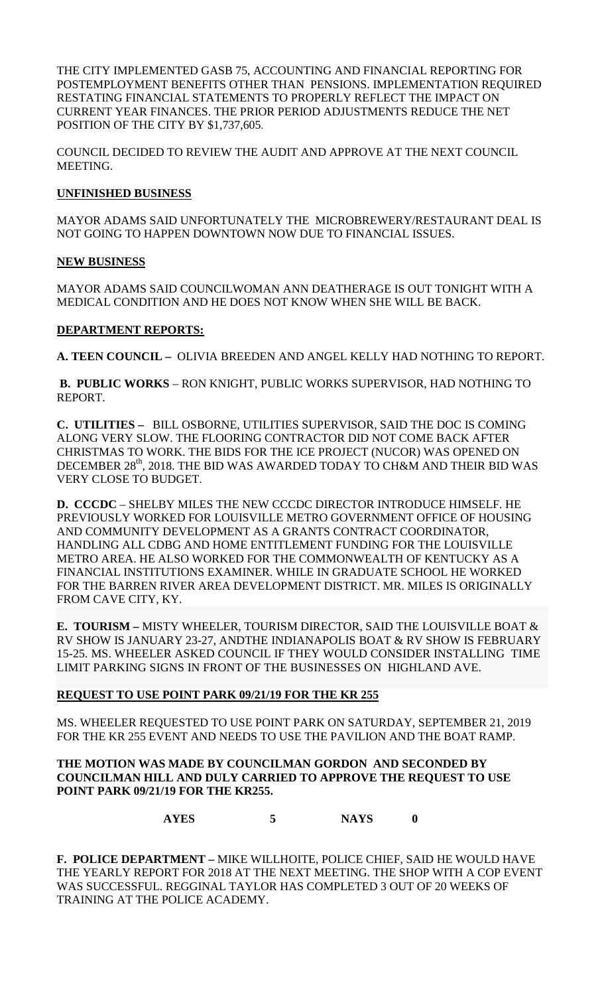THE CITY IMPLEMENTED GASB 75, ACCOUNTING AND FINANCIAL REPORTING FOR POSTEMPLOYMENT BENEFITS OTHER THAN PENSIONS. IMPLEMENTATION REQUIRED RESTATING FINANCIAL STATEMENTS TO PROPERLY REFLECT THE IMPACT ON CURRENT YEAR FINANCES. THE PRIOR PERIOD ADJUSTMENTS REDUCE THE NET POSITION OF THE CITY BY \$1,737,605.

COUNCIL DECIDED TO REVIEW THE AUDIT AND APPROVE AT THE NEXT COUNCIL MEETING.

### **UNFINISHED BUSINESS**

MAYOR ADAMS SAID UNFORTUNATELY THE MICROBREWERY/RESTAURANT DEAL IS NOT GOING TO HAPPEN DOWNTOWN NOW DUE TO FINANCIAL ISSUES.

### **NEW BUSINESS**

MAYOR ADAMS SAID COUNCILWOMAN ANN DEATHERAGE IS OUT TONIGHT WITH A MEDICAL CONDITION AND HE DOES NOT KNOW WHEN SHE WILL BE BACK.

### **DEPARTMENT REPORTS:**

**A. TEEN COUNCIL –** OLIVIA BREEDEN AND ANGEL KELLY HAD NOTHING TO REPORT.

**B. PUBLIC WORKS** – RON KNIGHT, PUBLIC WORKS SUPERVISOR, HAD NOTHING TO REPORT.

**C. UTILITIES –** BILL OSBORNE, UTILITIES SUPERVISOR, SAID THE DOC IS COMING ALONG VERY SLOW. THE FLOORING CONTRACTOR DID NOT COME BACK AFTER CHRISTMAS TO WORK. THE BIDS FOR THE ICE PROJECT (NUCOR) WAS OPENED ON DECEMBER 28<sup>th</sup>, 2018. THE BID WAS AWARDED TODAY TO CH&M AND THEIR BID WAS VERY CLOSE TO BUDGET.

**D. CCCDC** – SHELBY MILES THE NEW CCCDC DIRECTOR INTRODUCE HIMSELF. HE PREVIOUSLY WORKED FOR LOUISVILLE METRO GOVERNMENT OFFICE OF HOUSING AND COMMUNITY DEVELOPMENT AS A GRANTS CONTRACT COORDINATOR, HANDLING ALL CDBG AND HOME ENTITLEMENT FUNDING FOR THE LOUISVILLE METRO AREA. HE ALSO WORKED FOR THE COMMONWEALTH OF KENTUCKY AS A FINANCIAL INSTITUTIONS EXAMINER. WHILE IN GRADUATE SCHOOL HE WORKED FOR THE BARREN RIVER AREA DEVELOPMENT DISTRICT. MR. MILES IS ORIGINALLY FROM CAVE CITY, KY.

**E. TOURISM –** MISTY WHEELER, TOURISM DIRECTOR, SAID THE LOUISVILLE BOAT & RV SHOW IS JANUARY 23-27, ANDTHE INDIANAPOLIS BOAT & RV SHOW IS FEBRUARY 15-25. MS. WHEELER ASKED COUNCIL IF THEY WOULD CONSIDER INSTALLING TIME LIMIT PARKING SIGNS IN FRONT OF THE BUSINESSES ON HIGHLAND AVE.

# **REQUEST TO USE POINT PARK 09/21/19 FOR THE KR 255**

MS. WHEELER REQUESTED TO USE POINT PARK ON SATURDAY, SEPTEMBER 21, 2019 FOR THE KR 255 EVENT AND NEEDS TO USE THE PAVILION AND THE BOAT RAMP.

### **THE MOTION WAS MADE BY COUNCILMAN GORDON AND SECONDED BY COUNCILMAN HILL AND DULY CARRIED TO APPROVE THE REQUEST TO USE POINT PARK 09/21/19 FOR THE KR255.**

**AYES 5 NAYS 0**

**F. POLICE DEPARTMENT –** MIKE WILLHOITE, POLICE CHIEF, SAID HE WOULD HAVE THE YEARLY REPORT FOR 2018 AT THE NEXT MEETING. THE SHOP WITH A COP EVENT WAS SUCCESSFUL. REGGINAL TAYLOR HAS COMPLETED 3 OUT OF 20 WEEKS OF TRAINING AT THE POLICE ACADEMY.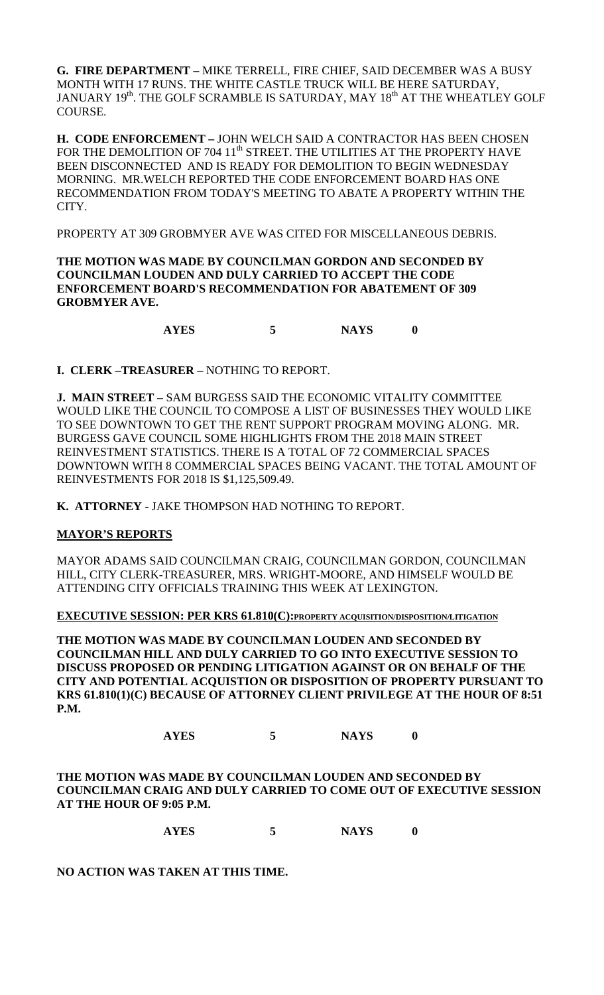**G. FIRE DEPARTMENT –** MIKE TERRELL, FIRE CHIEF, SAID DECEMBER WAS A BUSY MONTH WITH 17 RUNS. THE WHITE CASTLE TRUCK WILL BE HERE SATURDAY, JANUARY 19<sup>th</sup>. THE GOLF SCRAMBLE IS SATURDAY, MAY 18<sup>th</sup> AT THE WHEATLEY GOLF COURSE.

**H. CODE ENFORCEMENT –** JOHN WELCH SAID A CONTRACTOR HAS BEEN CHOSEN FOR THE DEMOLITION OF 704 11<sup>th</sup> STREET. THE UTILITIES AT THE PROPERTY HAVE BEEN DISCONNECTED AND IS READY FOR DEMOLITION TO BEGIN WEDNESDAY MORNING. MR.WELCH REPORTED THE CODE ENFORCEMENT BOARD HAS ONE RECOMMENDATION FROM TODAY'S MEETING TO ABATE A PROPERTY WITHIN THE CITY.

PROPERTY AT 309 GROBMYER AVE WAS CITED FOR MISCELLANEOUS DEBRIS.

**THE MOTION WAS MADE BY COUNCILMAN GORDON AND SECONDED BY COUNCILMAN LOUDEN AND DULY CARRIED TO ACCEPT THE CODE ENFORCEMENT BOARD'S RECOMMENDATION FOR ABATEMENT OF 309 GROBMYER AVE.** 

**AYES 5 NAYS 0**

**I. CLERK –TREASURER –** NOTHING TO REPORT.

**J. MAIN STREET –** SAM BURGESS SAID THE ECONOMIC VITALITY COMMITTEE WOULD LIKE THE COUNCIL TO COMPOSE A LIST OF BUSINESSES THEY WOULD LIKE TO SEE DOWNTOWN TO GET THE RENT SUPPORT PROGRAM MOVING ALONG. MR. BURGESS GAVE COUNCIL SOME HIGHLIGHTS FROM THE 2018 MAIN STREET REINVESTMENT STATISTICS. THERE IS A TOTAL OF 72 COMMERCIAL SPACES DOWNTOWN WITH 8 COMMERCIAL SPACES BEING VACANT. THE TOTAL AMOUNT OF REINVESTMENTS FOR 2018 IS \$1,125,509.49.

**K. ATTORNEY -** JAKE THOMPSON HAD NOTHING TO REPORT.

### **MAYOR'S REPORTS**

MAYOR ADAMS SAID COUNCILMAN CRAIG, COUNCILMAN GORDON, COUNCILMAN HILL, CITY CLERK-TREASURER, MRS. WRIGHT-MOORE, AND HIMSELF WOULD BE ATTENDING CITY OFFICIALS TRAINING THIS WEEK AT LEXINGTON.

**EXECUTIVE SESSION: PER KRS 61.810(C):PROPERTY ACQUISITION/DISPOSITION/LITIGATION**

**THE MOTION WAS MADE BY COUNCILMAN LOUDEN AND SECONDED BY COUNCILMAN HILL AND DULY CARRIED TO GO INTO EXECUTIVE SESSION TO DISCUSS PROPOSED OR PENDING LITIGATION AGAINST OR ON BEHALF OF THE CITY AND POTENTIAL ACQUISTION OR DISPOSITION OF PROPERTY PURSUANT TO KRS 61.810(1)(C) BECAUSE OF ATTORNEY CLIENT PRIVILEGE AT THE HOUR OF 8:51 P.M.**

**AYES 5 NAYS 0**

**THE MOTION WAS MADE BY COUNCILMAN LOUDEN AND SECONDED BY COUNCILMAN CRAIG AND DULY CARRIED TO COME OUT OF EXECUTIVE SESSION AT THE HOUR OF 9:05 P.M.**

**AYES 5 NAYS 0**

**NO ACTION WAS TAKEN AT THIS TIME.**